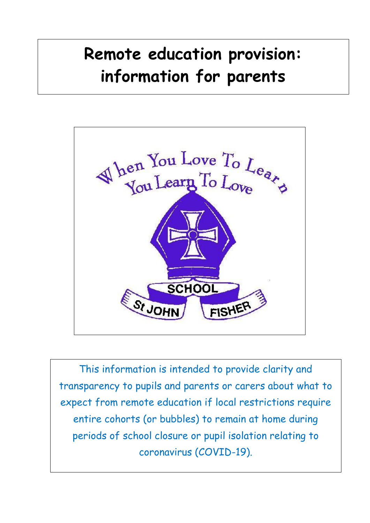# **Remote education provision: information for parents**



This information is intended to provide clarity and transparency to pupils and parents or carers about what to expect from remote education if local restrictions require entire cohorts (or bubbles) to remain at home during periods of school closure or pupil isolation relating to coronavirus (COVID-19).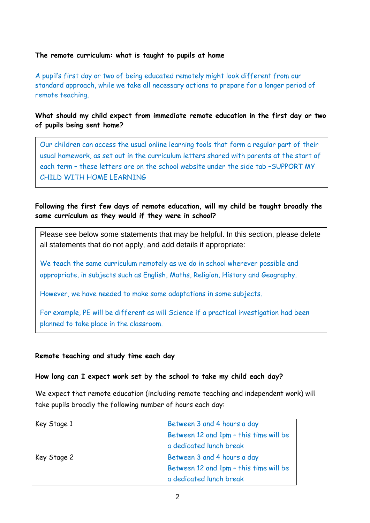## **The remote curriculum: what is taught to pupils at home**

A pupil's first day or two of being educated remotely might look different from our standard approach, while we take all necessary actions to prepare for a longer period of remote teaching.

**What should my child expect from immediate remote education in the first day or two of pupils being sent home?**

Our children can access the usual online learning tools that form a regular part of their usual homework, as set out in the curriculum letters shared with parents at the start of each term – these letters are on the school website under the side tab –SUPPORT MY CHILD WITH HOME LEARNING

# **Following the first few days of remote education, will my child be taught broadly the same curriculum as they would if they were in school?**

Please see below some statements that may be helpful. In this section, please delete all statements that do not apply, and add details if appropriate:

We teach the same curriculum remotely as we do in school wherever possible and appropriate, in subjects such as English, Maths, Religion, History and Geography.

However, we have needed to make some adaptations in some subjects.

For example, PE will be different as will Science if a practical investigation had been planned to take place in the classroom.

## **Remote teaching and study time each day**

## **How long can I expect work set by the school to take my child each day?**

We expect that remote education (including remote teaching and independent work) will take pupils broadly the following number of hours each day:

| Key Stage 1 | Between 3 and 4 hours a day            |
|-------------|----------------------------------------|
|             | Between 12 and 1pm - this time will be |
|             | a dedicated lunch break                |
| Key Stage 2 | Between 3 and 4 hours a day            |
|             | Between 12 and 1pm - this time will be |
|             | a dedicated lunch break                |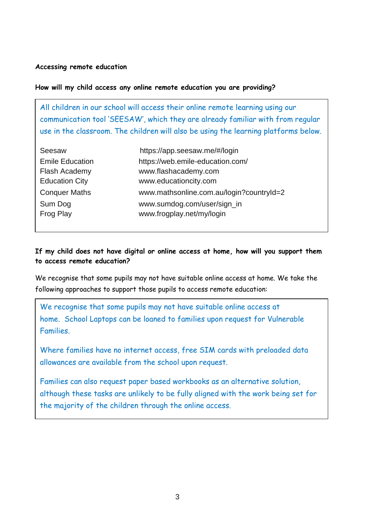#### **Accessing remote education**

#### **How will my child access any online remote education you are providing?**

All children in our school will access their online remote learning using our communication tool 'SEESAW', which they are already familiar with from regular use in the classroom. The children will also be using the learning platforms below.

| Seesaw                 | https://app.seesaw.me/#/login            |
|------------------------|------------------------------------------|
| <b>Emile Education</b> | https://web.emile-education.com/         |
| Flash Academy          | www.flashacademy.com                     |
| <b>Education City</b>  | www.educationcity.com                    |
| <b>Conquer Maths</b>   | www.mathsonline.com.au/login?countryId=2 |
| Sum Dog                | www.sumdog.com/user/sign_in              |
| Frog Play              | www.frogplay.net/my/login                |

## **If my child does not have digital or online access at home, how will you support them to access remote education?**

We recognise that some pupils may not have suitable online access at home. We take the following approaches to support those pupils to access remote education:

We recognise that some pupils may not have suitable online access at home. School Laptops can be loaned to families upon request for Vulnerable Families.

Where families have no internet access, free SIM cards with preloaded data allowances are available from the school upon request.

Families can also request paper based workbooks as an alternative solution, although these tasks are unlikely to be fully aligned with the work being set for the majority of the children through the online access.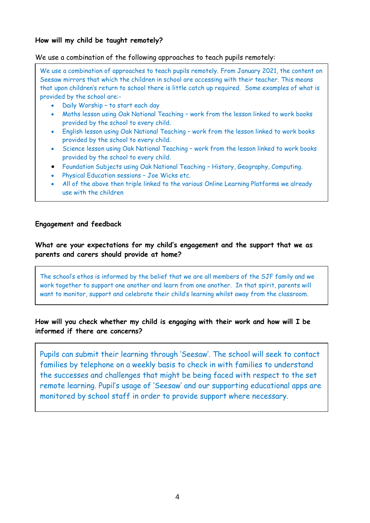### **How will my child be taught remotely?**

#### We use a combination of the following approaches to teach pupils remotely:

We use a combination of approaches to teach pupils remotely. From January 2021, the content on Seesaw mirrors that which the children in school are accessing with their teacher. This means that upon children's return to school there is little catch up required. Some examples of what is provided by the school are:-

- Daily Worship to start each day
- Maths lesson using Oak National Teaching work from the lesson linked to work books provided by the school to every child.
- English lesson using Oak National Teaching work from the lesson linked to work books provided by the school to every child.
- Science lesson using Oak National Teaching work from the lesson linked to work books provided by the school to every child.
- Foundation Subjects using Oak National Teaching History, Geography, Computing.
- Physical Education sessions Joe Wicks etc.
- All of the above then triple linked to the various Online Learning Platforms we already use with the children

#### **Engagement and feedback**

## **What are your expectations for my child's engagement and the support that we as parents and carers should provide at home?**

The school's ethos is informed by the belief that we are all members of the SJF family and we work together to support one another and learn from one another. In that spirit, parents will want to monitor, support and celebrate their child's learning whilst away from the classroom.

## **How will you check whether my child is engaging with their work and how will I be informed if there are concerns?**

Pupils can submit their learning through 'Seesaw'. The school will seek to contact families by telephone on a weekly basis to check in with families to understand the successes and challenges that might be being faced with respect to the set remote learning. Pupil's usage of 'Seesaw' and our supporting educational apps are monitored by school staff in order to provide support where necessary.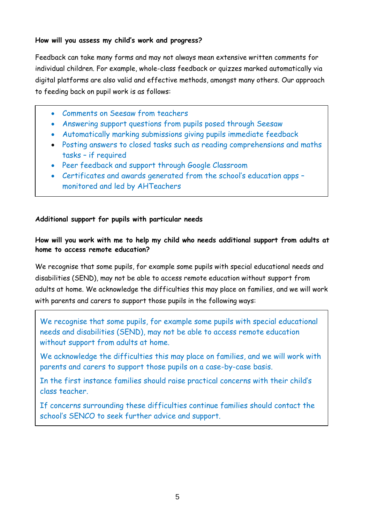## **How will you assess my child's work and progress?**

Feedback can take many forms and may not always mean extensive written comments for individual children. For example, whole-class feedback or quizzes marked automatically via digital platforms are also valid and effective methods, amongst many others. Our approach to feeding back on pupil work is as follows:

- Comments on Seesaw from teachers
- Answering support questions from pupils posed through Seesaw
- Automatically marking submissions giving pupils immediate feedback
- Posting answers to closed tasks such as reading comprehensions and maths tasks – if required
- Peer feedback and support through Google Classroom
- Certificates and awards generated from the school's education apps monitored and led by AHTeachers

## **Additional support for pupils with particular needs**

# **How will you work with me to help my child who needs additional support from adults at home to access remote education?**

We recognise that some pupils, for example some pupils with special educational needs and disabilities (SEND), may not be able to access remote education without support from adults at home. We acknowledge the difficulties this may place on families, and we will work with parents and carers to support those pupils in the following ways:

We recognise that some pupils, for example some pupils with special educational needs and disabilities (SEND), may not be able to access remote education without support from adults at home.

We acknowledge the difficulties this may place on families, and we will work with parents and carers to support those pupils on a case-by-case basis.

In the first instance families should raise practical concerns with their child's class teacher.

If concerns surrounding these difficulties continue families should contact the school's SENCO to seek further advice and support.